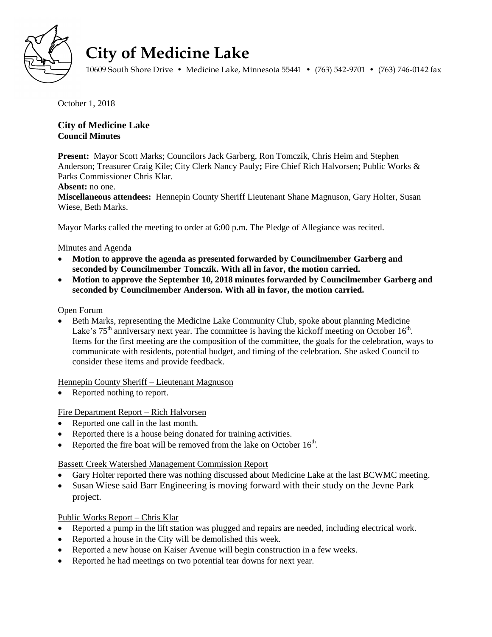

# **City of Medicine Lake**

10609 South Shore Drive • Medicine Lake, Minnesota 55441 • (763) 542-9701 • (763) 746-0142 fax

October 1, 2018

## **City of Medicine Lake Council Minutes**

**Present:** Mayor Scott Marks; Councilors Jack Garberg, Ron Tomczik, Chris Heim and Stephen Anderson; Treasurer Craig Kile; City Clerk Nancy Pauly**;** Fire Chief Rich Halvorsen; Public Works & Parks Commissioner Chris Klar.

#### **Absent:** no one.

**Miscellaneous attendees:** Hennepin County Sheriff Lieutenant Shane Magnuson, Gary Holter, Susan Wiese, Beth Marks.

Mayor Marks called the meeting to order at 6:00 p.m. The Pledge of Allegiance was recited.

## Minutes and Agenda

- **Motion to approve the agenda as presented forwarded by Councilmember Garberg and seconded by Councilmember Tomczik. With all in favor, the motion carried.**
- **Motion to approve the September 10, 2018 minutes forwarded by Councilmember Garberg and seconded by Councilmember Anderson. With all in favor, the motion carried.**

#### Open Forum

 Beth Marks, representing the Medicine Lake Community Club, spoke about planning Medicine Lake's  $75<sup>th</sup>$  anniversary next year. The committee is having the kickoff meeting on October 16<sup>th</sup>. Items for the first meeting are the composition of the committee, the goals for the celebration, ways to communicate with residents, potential budget, and timing of the celebration. She asked Council to consider these items and provide feedback.

Hennepin County Sheriff – Lieutenant Magnuson

Reported nothing to report.

## Fire Department Report – Rich Halvorsen

- Reported one call in the last month.
- Reported there is a house being donated for training activities.
- Reported the fire boat will be removed from the lake on October  $16<sup>th</sup>$ .

Bassett Creek Watershed Management Commission Report

- Gary Holter reported there was nothing discussed about Medicine Lake at the last BCWMC meeting.
- Susan Wiese said Barr Engineering is moving forward with their study on the Jevne Park project.

## Public Works Report – Chris Klar

- Reported a pump in the lift station was plugged and repairs are needed, including electrical work.
- Reported a house in the City will be demolished this week.
- Reported a new house on Kaiser Avenue will begin construction in a few weeks.
- Reported he had meetings on two potential tear downs for next year.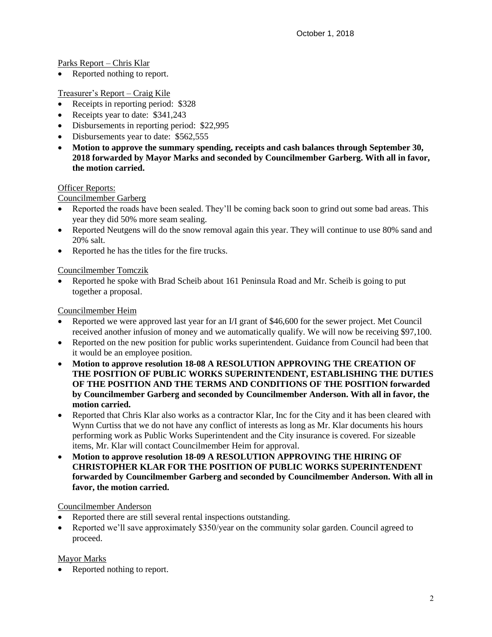Parks Report – Chris Klar

Reported nothing to report.

#### Treasurer's Report – Craig Kile

- Receipts in reporting period: \$328
- Receipts year to date: \$341,243
- Disbursements in reporting period: \$22,995
- Disbursements year to date: \$562,555
- **Motion to approve the summary spending, receipts and cash balances through September 30, 2018 forwarded by Mayor Marks and seconded by Councilmember Garberg. With all in favor, the motion carried.**

#### Officer Reports:

Councilmember Garberg

- Reported the roads have been sealed. They'll be coming back soon to grind out some bad areas. This year they did 50% more seam sealing.
- Reported Neutgens will do the snow removal again this year. They will continue to use 80% sand and 20% salt.
- Reported he has the titles for the fire trucks.

#### Councilmember Tomczik

 Reported he spoke with Brad Scheib about 161 Peninsula Road and Mr. Scheib is going to put together a proposal.

#### Councilmember Heim

- Reported we were approved last year for an I/I grant of \$46,600 for the sewer project. Met Council received another infusion of money and we automatically qualify. We will now be receiving \$97,100.
- Reported on the new position for public works superintendent. Guidance from Council had been that it would be an employee position.
- **Motion to approve resolution 18-08 A RESOLUTION APPROVING THE CREATION OF THE POSITION OF PUBLIC WORKS SUPERINTENDENT, ESTABLISHING THE DUTIES OF THE POSITION AND THE TERMS AND CONDITIONS OF THE POSITION forwarded by Councilmember Garberg and seconded by Councilmember Anderson. With all in favor, the motion carried.**
- Reported that Chris Klar also works as a contractor Klar, Inc for the City and it has been cleared with Wynn Curtiss that we do not have any conflict of interests as long as Mr. Klar documents his hours performing work as Public Works Superintendent and the City insurance is covered. For sizeable items, Mr. Klar will contact Councilmember Heim for approval.
- **Motion to approve resolution 18-09 A RESOLUTION APPROVING THE HIRING OF CHRISTOPHER KLAR FOR THE POSITION OF PUBLIC WORKS SUPERINTENDENT forwarded by Councilmember Garberg and seconded by Councilmember Anderson. With all in favor, the motion carried.**

#### Councilmember Anderson

- Reported there are still several rental inspections outstanding.
- Reported we'll save approximately \$350/year on the community solar garden. Council agreed to proceed.

#### Mayor Marks

• Reported nothing to report.